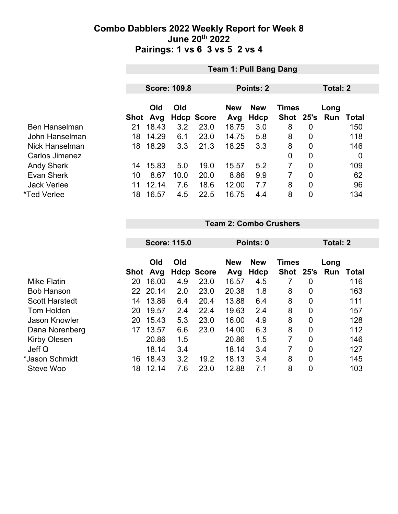|                      | <b>Team 1: Pull Bang Dang</b> |              |                     |                   |              |                    |                           |                |             |             |
|----------------------|-------------------------------|--------------|---------------------|-------------------|--------------|--------------------|---------------------------|----------------|-------------|-------------|
|                      |                               |              | <b>Score: 109.8</b> |                   |              | <b>Points: 2</b>   |                           | Total: 2       |             |             |
|                      |                               | Old          | Old                 | <b>Hdcp Score</b> | <b>New</b>   | <b>New</b><br>Hdcp | <b>Times</b><br>Shot 25's |                | Long<br>Run | Total       |
| <b>Ben Hanselman</b> | Shot<br>21                    | Avg<br>18.43 | 3.2                 | 23.0              | Avg<br>18.75 | 3.0                | 8                         | $\overline{0}$ |             | 150         |
| John Hanselman       | 18                            | 14.29        | 6.1                 | 23.0              | 14.75        | 5.8                | 8                         | 0              |             | 118         |
| Nick Hanselman       | 18                            | 18.29        | 3.3                 | 21.3              | 18.25        | 3.3                | 8                         | 0              |             | 146         |
| Carlos Jimenez       |                               |              |                     |                   |              |                    | 0                         | 0              |             | $\mathbf 0$ |
| <b>Andy Sherk</b>    | 14                            | 15.83        | 5.0                 | 19.0              | 15.57        | 5.2                | 7                         | $\overline{0}$ |             | 109         |
| <b>Evan Sherk</b>    | 10                            | 8.67         | 10.0                | 20.0              | 8.86         | 9.9                | 7                         | $\overline{0}$ |             | 62          |
| <b>Jack Verlee</b>   | 11                            | 12.14        | 7.6                 | 18.6              | 12.00        | 7.7                | 8                         | $\overline{0}$ |             | 96          |
| *Ted Verlee          | 18                            | 16.57        | 4.5                 | 22.5              | 16.75        | 4.4                | 8                         | $\overline{0}$ |             | 134         |

#### **Team 2: Combo Crushers**

|                       |            | <b>Score: 115.0</b> |     |                           |              | Points: 0   |              | Total: 2 |             |                     |
|-----------------------|------------|---------------------|-----|---------------------------|--------------|-------------|--------------|----------|-------------|---------------------|
|                       |            | Old                 | Old |                           | <b>New</b>   | <b>New</b>  | <b>Times</b> | 25's     | Long<br>Run |                     |
| <b>Mike Flatin</b>    | Shot<br>20 | Avg<br>16.00        | 4.9 | <b>Hdcp Score</b><br>23.0 | Avg<br>16.57 | Hdcp<br>4.5 | <b>Shot</b>  | 0        |             | <b>Total</b><br>116 |
| <b>Bob Hanson</b>     | 22         | 20.14               | 2.0 | 23.0                      | 20.38        | 1.8         | 8            | 0        |             | 163                 |
| <b>Scott Harstedt</b> | 14         | 13.86               | 6.4 | 20.4                      | 13.88        | 6.4         | 8            | 0        |             | 111                 |
| Tom Holden            | 20         | 19.57               | 2.4 | 22.4                      | 19.63        | 2.4         | 8            | 0        |             | 157                 |
| <b>Jason Knowler</b>  | 20         | 15.43               | 5.3 | 23.0                      | 16.00        | 4.9         | 8            | 0        |             | 128                 |
| Dana Norenberg        | 17         | 13.57               | 6.6 | 23.0                      | 14.00        | 6.3         | 8            | 0        |             | 112                 |
| <b>Kirby Olesen</b>   |            | 20.86               | 1.5 |                           | 20.86        | 1.5         | 7            | 0        |             | 146                 |
| Jeff Q                |            | 18.14               | 3.4 |                           | 18.14        | 3.4         | 7            | 0        |             | 127                 |
| *Jason Schmidt        | 16         | 18.43               | 3.2 | 19.2                      | 18.13        | 3.4         | 8            | 0        |             | 145                 |
| Steve Woo             | 18         | 12.14               | 7.6 | 23.0                      | 12.88        | 7.1         | 8            | 0        |             | 103                 |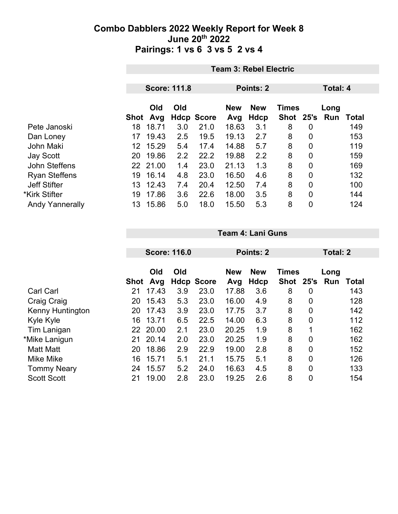|                        | <b>Team 3: Rebel Electric</b> |          |     |                   |            |            |              |                |      |              |
|------------------------|-------------------------------|----------|-----|-------------------|------------|------------|--------------|----------------|------|--------------|
|                        |                               |          |     |                   |            |            |              |                |      |              |
|                        | <b>Score: 111.8</b>           |          |     | Points: 2         |            |            |              | Total: 4       |      |              |
|                        |                               |          |     |                   |            |            |              |                |      |              |
|                        |                               | Old      | Old |                   | <b>New</b> | <b>New</b> | <b>Times</b> |                | Long |              |
|                        | Shot                          | Avg      |     | <b>Hdcp Score</b> | Avg        | Hdcp       | Shot         | 25's           | Run  | <b>Total</b> |
| Pete Janoski           | 18                            | 18.71    | 3.0 | 21.0              | 18.63      | 3.1        | 8            | $\mathbf 0$    |      | 149          |
| Dan Loney              | 17                            | 19.43    | 2.5 | 19.5              | 19.13      | 2.7        | 8            | $\overline{0}$ |      | 153          |
| <b>John Maki</b>       | 12                            | 15.29    | 5.4 | 17.4              | 14.88      | 5.7        | 8            | $\overline{0}$ |      | 119          |
| <b>Jay Scott</b>       | 20                            | 19.86    | 2.2 | 22.2              | 19.88      | 2.2        | 8            | $\overline{0}$ |      | 159          |
| John Steffens          |                               | 22 21.00 | 1.4 | 23.0              | 21.13      | 1.3        | 8            | $\mathbf 0$    |      | 169          |
| <b>Ryan Steffens</b>   | 19                            | 16.14    | 4.8 | 23.0              | 16.50      | 4.6        | 8            | $\overline{0}$ |      | 132          |
| <b>Jeff Stifter</b>    | 13                            | 12.43    | 7.4 | 20.4              | 12.50      | 7.4        | 8            | $\overline{0}$ |      | 100          |
| *Kirk Stifter          | 19                            | 17.86    | 3.6 | 22.6              | 18.00      | 3.5        | 8            | $\overline{0}$ |      | 144          |
| <b>Andy Yannerally</b> | 13                            | 15.86    | 5.0 | 18.0              | 15.50      | 5.3        | 8            | $\mathbf 0$    |      | 124          |

|                         |      |            | <b>Score: 116.0</b> |                   |                   | Points: 2          |                             | Total: 2 |             |       |
|-------------------------|------|------------|---------------------|-------------------|-------------------|--------------------|-----------------------------|----------|-------------|-------|
|                         | Shot | Old<br>Avg | Old                 | <b>Hdcp Score</b> | <b>New</b><br>Avg | <b>New</b><br>Hdcp | <b>Times</b><br><b>Shot</b> | 25's     | Long<br>Run | Total |
| <b>Carl Carl</b>        | 21   | 17.43      | 3.9                 | 23.0              | 17.88             | 3.6                | 8                           | 0        |             | 143   |
| Craig Craig             | 20   | 15.43      | 5.3                 | 23.0              | 16.00             | 4.9                | 8                           | 0        |             | 128   |
| <b>Kenny Huntington</b> | 20   | 17.43      | 3.9                 | 23.0              | 17.75             | 3.7                | 8                           | 0        |             | 142   |
| Kyle Kyle               | 16   | 13.71      | 6.5                 | 22.5              | 14.00             | 6.3                | 8                           | 0        |             | 112   |
| Tim Lanigan             | 22   | 20.00      | 2.1                 | 23.0              | 20.25             | 1.9                | 8                           | 1        |             | 162   |
| *Mike Lanigun           | 21   | 20.14      | 2.0                 | 23.0              | 20.25             | 1.9                | 8                           | 0        |             | 162   |
| <b>Matt Matt</b>        | 20   | 18.86      | 2.9                 | 22.9              | 19.00             | 2.8                | 8                           | 0        |             | 152   |
| <b>Mike Mike</b>        | 16   | 15.71      | 5.1                 | 21.1              | 15.75             | 5.1                | 8                           | 0        |             | 126   |
| <b>Tommy Neary</b>      | 24   | 15.57      | 5.2                 | 24.0              | 16.63             | 4.5                | 8                           | 0        |             | 133   |
| <b>Scott Scott</b>      | 21   | 19.00      | 2.8                 | 23.0              | 19.25             | 2.6                | 8                           | 0        |             | 154   |

**Team 4: Lani Guns**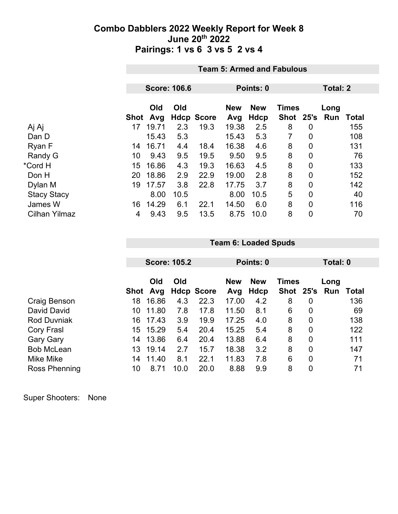|                      |      | <b>Team 5: Armed and Fabulous</b> |      |                   |                   |                    |                           |                |                 |              |
|----------------------|------|-----------------------------------|------|-------------------|-------------------|--------------------|---------------------------|----------------|-----------------|--------------|
|                      |      |                                   |      |                   |                   |                    |                           |                |                 |              |
|                      |      | <b>Score: 106.6</b>               |      |                   |                   | Points: 0          |                           |                | <b>Total: 2</b> |              |
|                      | Shot | Old<br>Avg                        | Old  | <b>Hdcp Score</b> | <b>New</b><br>Avg | <b>New</b><br>Hdcp | <b>Times</b><br>Shot 25's |                | Long<br>Run     | <b>Total</b> |
| Aj Aj                | 17   | 19.71                             | 2.3  | 19.3              | 19.38             | 2.5                | 8                         | 0              |                 | 155          |
| Dan D                |      | 15.43                             | 5.3  |                   | 15.43             | 5.3                | 7                         | $\overline{0}$ |                 | 108          |
| Ryan F               | 14   | 16.71                             | 4.4  | 18.4              | 16.38             | 4.6                | 8                         | $\mathbf 0$    |                 | 131          |
| Randy G              | 10   | 9.43                              | 9.5  | 19.5              | 9.50              | 9.5                | 8                         | $\mathbf 0$    |                 | 76           |
| *Cord H              | 15   | 16.86                             | 4.3  | 19.3              | 16.63             | 4.5                | 8                         | $\overline{0}$ |                 | 133          |
| Don H                | 20   | 18.86                             | 2.9  | 22.9              | 19.00             | 2.8                | 8                         | $\mathbf 0$    |                 | 152          |
| Dylan M              | 19   | 17.57                             | 3.8  | 22.8              | 17.75             | 3.7                | 8                         | $\mathbf 0$    |                 | 142          |
| <b>Stacy Stacy</b>   |      | 8.00                              | 10.5 |                   | 8.00              | 10.5               | 5                         | $\overline{0}$ |                 | 40           |
| James W              | 16   | 14.29                             | 6.1  | 22.1              | 14.50             | 6.0                | 8                         | $\mathbf 0$    |                 | 116          |
| <b>Cilhan Yilmaz</b> | 4    | 9.43                              | 9.5  | 13.5              | 8.75              | 10.0               | 8                         | $\mathbf 0$    |                 | 70           |

|                    |                 | <b>Score: 105.2</b> |      |                   |            | Points: 0  |              |      |      | Total: 0     |  |
|--------------------|-----------------|---------------------|------|-------------------|------------|------------|--------------|------|------|--------------|--|
|                    |                 |                     |      |                   |            |            |              |      |      |              |  |
|                    |                 | Old                 | Old  |                   | <b>New</b> | <b>New</b> | <b>Times</b> |      | Long |              |  |
|                    | Shot            | Avg                 |      | <b>Hdcp Score</b> | Avg        | Hdcp       | <b>Shot</b>  | 25's | Run  | <b>Total</b> |  |
| Craig Benson       | 18              | 16.86               | 4.3  | 22.3              | 17.00      | 4.2        | 8            | 0    |      | 136          |  |
| David David        | 10              | 11.80               | 7.8  | 17.8              | 11.50      | 8.1        | 6            | 0    |      | 69           |  |
| <b>Rod Duvniak</b> | 16              | 17.43               | 3.9  | 19.9              | 17.25      | 4.0        | 8            | 0    |      | 138          |  |
| Cory Frasl         | 15              | 15.29               | 5.4  | 20.4              | 15.25      | 5.4        | 8            | 0    |      | 122          |  |
| <b>Gary Gary</b>   | 14              | 13.86               | 6.4  | 20.4              | 13.88      | 6.4        | 8            | 0    |      | 111          |  |
| <b>Bob McLean</b>  | 13 <sup>°</sup> | 19.14               | 2.7  | 15.7              | 18.38      | 3.2        | 8            | 0    |      | 147          |  |
| Mike Mike          | 14              | 11.40               | 8.1  | 22.1              | 11.83      | 7.8        | 6            | 0    |      | 71           |  |
| Ross Phenning      | 10              | 8.71                | 10.0 | 20.0              | 8.88       | 9.9        | 8            | 0    |      | 71           |  |

**Team 6: Loaded Spuds**

| Super Shooters: | None |
|-----------------|------|
|-----------------|------|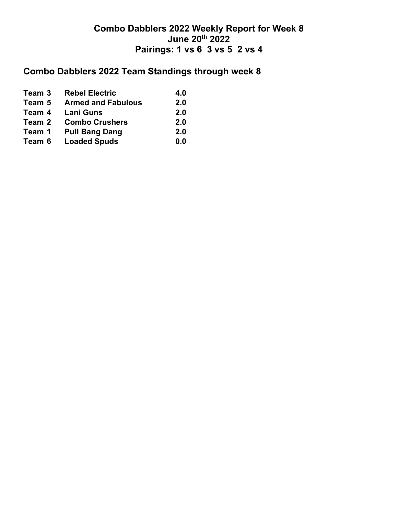# **Combo Dabblers 2022 Team Standings through week 8**

| Team 3 | <b>Rebel Electric</b>     | 4.0 |
|--------|---------------------------|-----|
| Team 5 | <b>Armed and Fabulous</b> | 2.0 |
| Team 4 | <b>Lani Guns</b>          | 2.0 |
| Team 2 | <b>Combo Crushers</b>     | 2.0 |
| Team 1 | <b>Pull Bang Dang</b>     | 2.0 |
| Team 6 | <b>Loaded Spuds</b>       | 0.0 |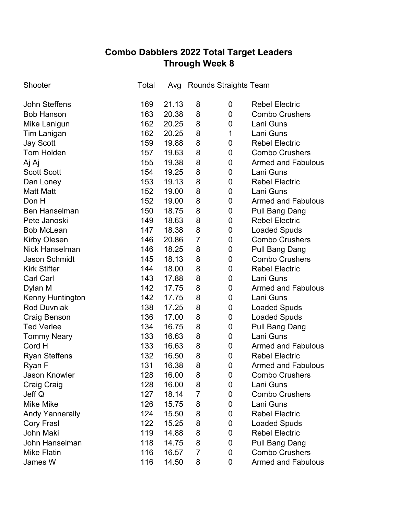## **Combo Dabblers 2022 Total Target Leaders Through Week 8**

| Shooter                | Total | Avg   |                | <b>Rounds Straights Team</b> |                           |
|------------------------|-------|-------|----------------|------------------------------|---------------------------|
| John Steffens          | 169   | 21.13 | 8              | 0                            | <b>Rebel Electric</b>     |
| <b>Bob Hanson</b>      | 163   | 20.38 | 8              | 0                            | <b>Combo Crushers</b>     |
| Mike Lanigun           | 162   | 20.25 | 8              | 0                            | Lani Guns                 |
| Tim Lanigan            | 162   | 20.25 | 8              | 1                            | Lani Guns                 |
| <b>Jay Scott</b>       | 159   | 19.88 | 8              | 0                            | <b>Rebel Electric</b>     |
| <b>Tom Holden</b>      | 157   | 19.63 | 8              | 0                            | <b>Combo Crushers</b>     |
| Aj Aj                  | 155   | 19.38 | 8              | 0                            | <b>Armed and Fabulous</b> |
| <b>Scott Scott</b>     | 154   | 19.25 | 8              | 0                            | Lani Guns                 |
| Dan Loney              | 153   | 19.13 | 8              | 0                            | <b>Rebel Electric</b>     |
| <b>Matt Matt</b>       | 152   | 19.00 | 8              | 0                            | Lani Guns                 |
| Don H                  | 152   | 19.00 | 8              | 0                            | <b>Armed and Fabulous</b> |
| <b>Ben Hanselman</b>   | 150   | 18.75 | 8              | 0                            | Pull Bang Dang            |
| Pete Janoski           | 149   | 18.63 | 8              | 0                            | <b>Rebel Electric</b>     |
| <b>Bob McLean</b>      | 147   | 18.38 | 8              | 0                            | <b>Loaded Spuds</b>       |
| Kirby Olesen           | 146   | 20.86 | $\overline{7}$ | 0                            | <b>Combo Crushers</b>     |
| <b>Nick Hanselman</b>  | 146   | 18.25 | 8              | 0                            | Pull Bang Dang            |
| <b>Jason Schmidt</b>   | 145   | 18.13 | 8              | 0                            | <b>Combo Crushers</b>     |
| <b>Kirk Stifter</b>    | 144   | 18.00 | 8              | 0                            | <b>Rebel Electric</b>     |
| <b>Carl Carl</b>       | 143   | 17.88 | 8              | 0                            | Lani Guns                 |
| Dylan M                | 142   | 17.75 | 8              | $\mathbf 0$                  | <b>Armed and Fabulous</b> |
| Kenny Huntington       | 142   | 17.75 | 8              | 0                            | Lani Guns                 |
| <b>Rod Duvniak</b>     | 138   | 17.25 | 8              | $\mathbf 0$                  | <b>Loaded Spuds</b>       |
| Craig Benson           | 136   | 17.00 | 8              | 0                            | <b>Loaded Spuds</b>       |
| <b>Ted Verlee</b>      | 134   | 16.75 | 8              | 0                            | <b>Pull Bang Dang</b>     |
| <b>Tommy Neary</b>     | 133   | 16.63 | 8              | 0                            | Lani Guns                 |
| Cord H                 | 133   | 16.63 | 8              | 0                            | <b>Armed and Fabulous</b> |
| <b>Ryan Steffens</b>   | 132   | 16.50 | 8              | 0                            | <b>Rebel Electric</b>     |
| Ryan F                 | 131   | 16.38 | 8              | $\mathbf 0$                  | <b>Armed and Fabulous</b> |
| <b>Jason Knowler</b>   | 128   | 16.00 | 8              | $\mathbf 0$                  | <b>Combo Crushers</b>     |
| Craig Craig            | 128   | 16.00 | 8              | 0                            | Lani Guns                 |
| Jeff Q                 | 127   | 18.14 | $\overline{7}$ | 0                            | <b>Combo Crushers</b>     |
| <b>Mike Mike</b>       | 126   | 15.75 | 8              | 0                            | Lani Guns                 |
| <b>Andy Yannerally</b> | 124   | 15.50 | 8              | 0                            | <b>Rebel Electric</b>     |
| Cory Frasl             | 122   | 15.25 | 8              | 0                            | <b>Loaded Spuds</b>       |
| <b>John Maki</b>       | 119   | 14.88 | 8              | 0                            | <b>Rebel Electric</b>     |
| John Hanselman         | 118   | 14.75 | 8              | 0                            | Pull Bang Dang            |
| <b>Mike Flatin</b>     | 116   | 16.57 | $\overline{7}$ | 0                            | <b>Combo Crushers</b>     |
| James W                | 116   | 14.50 | 8              | 0                            | <b>Armed and Fabulous</b> |